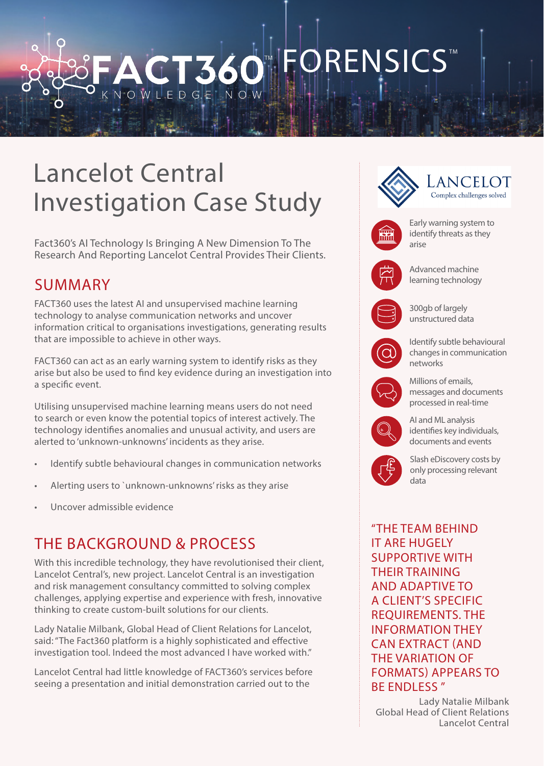# ORENSICS<sup>®</sup> CT 360

# Lancelot Central Investigation Case Study

Fact360's AI Technology Is Bringing A New Dimension To The Research And Reporting Lancelot Central Provides Their Clients.

## SUMMARY

FACT360 uses the latest AI and unsupervised machine learning technology to analyse communication networks and uncover information critical to organisations investigations, generating results that are impossible to achieve in other ways.

FACT360 can act as an early warning system to identify risks as they arise but also be used to find key evidence during an investigation into a specific event.

Utilising unsupervised machine learning means users do not need to search or even know the potential topics of interest actively. The technology identifies anomalies and unusual activity, and users are alerted to 'unknown-unknowns' incidents as they arise.

- Identify subtle behavioural changes in communication networks
- Alerting users to `unknown-unknowns' risks as they arise
- Uncover admissible evidence

### THE BACKGROUND & PROCESS

With this incredible technology, they have revolutionised their client, Lancelot Central's, new project. Lancelot Central is an investigation and risk management consultancy committed to solving complex challenges, applying expertise and experience with fresh, innovative thinking to create custom-built solutions for our clients.

Lady Natalie Milbank, Global Head of Client Relations for Lancelot, said: "The Fact360 platform is a highly sophisticated and effective investigation tool. Indeed the most advanced I have worked with."

Lancelot Central had little knowledge of FACT360's services before seeing a presentation and initial demonstration carried out to the



REQUIREMENTS. THE INFORMATION THEY CAN EXTRACT (AND THE VARIATION OF FORMATS) APPEARS TO BE ENDLESS "

Lady Natalie Milbank Global Head of Client Relations Lancelot Central